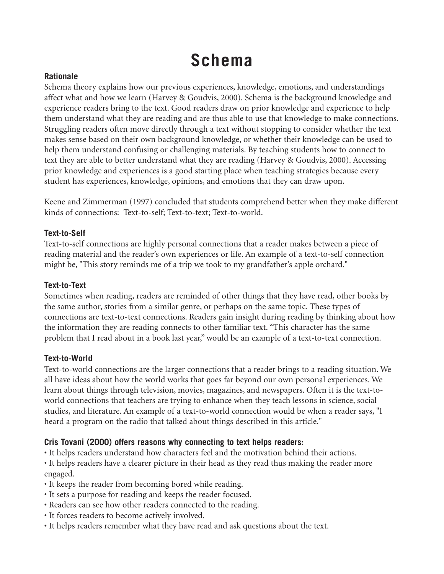# **Schema**

# **Rationale**

Schema theory explains how our previous experiences, knowledge, emotions, and understandings affect what and how we learn (Harvey & Goudvis, 2000). Schema is the background knowledge and experience readers bring to the text. Good readers draw on prior knowledge and experience to help them understand what they are reading and are thus able to use that knowledge to make connections. Struggling readers often move directly through a text without stopping to consider whether the text makes sense based on their own background knowledge, or whether their knowledge can be used to help them understand confusing or challenging materials. By teaching students how to connect to text they are able to better understand what they are reading (Harvey & Goudvis, 2000). Accessing prior knowledge and experiences is a good starting place when teaching strategies because every student has experiences, knowledge, opinions, and emotions that they can draw upon.

Keene and Zimmerman (1997) concluded that students comprehend better when they make different kinds of connections: Text-to-self; Text-to-text; Text-to-world.

## **Text-to-Self**

Text-to-self connections are highly personal connections that a reader makes between a piece of reading material and the reader's own experiences or life. An example of a text-to-self connection might be, "This story reminds me of a trip we took to my grandfather's apple orchard."

## **Text-to-Text**

Sometimes when reading, readers are reminded of other things that they have read, other books by the same author, stories from a similar genre, or perhaps on the same topic. These types of connections are text-to-text connections. Readers gain insight during reading by thinking about how the information they are reading connects to other familiar text. "This character has the same problem that I read about in a book last year," would be an example of a text-to-text connection.

# **Text-to-World**

Text-to-world connections are the larger connections that a reader brings to a reading situation. We all have ideas about how the world works that goes far beyond our own personal experiences. We learn about things through television, movies, magazines, and newspapers. Often it is the text-toworld connections that teachers are trying to enhance when they teach lessons in science, social studies, and literature. An example of a text-to-world connection would be when a reader says, "I heard a program on the radio that talked about things described in this article."

# **Cris Tovani (2000) offers reasons why connecting to text helps readers:**

- It helps readers understand how characters feel and the motivation behind their actions.
- It helps readers have a clearer picture in their head as they read thus making the reader more engaged.
- It keeps the reader from becoming bored while reading.
- It sets a purpose for reading and keeps the reader focused.
- Readers can see how other readers connected to the reading.
- It forces readers to become actively involved.
- It helps readers remember what they have read and ask questions about the text.